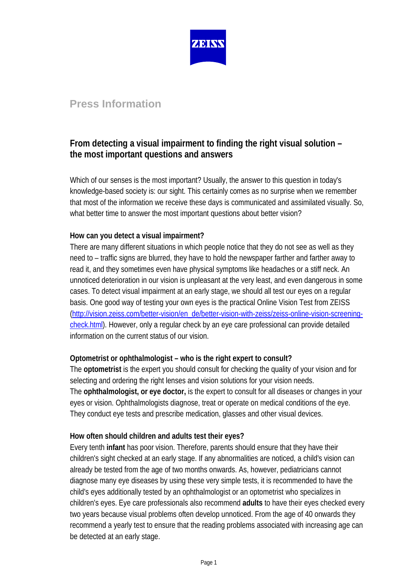

# **Press Information**

## **From detecting a visual impairment to finding the right visual solution – the most important questions and answers**

Which of our senses is the most important? Usually, the answer to this question in today's knowledge-based society is: our sight. This certainly comes as no surprise when we remember that most of the information we receive these days is communicated and assimilated visually. So, what better time to answer the most important questions about better vision?

### **How can you detect a visual impairment?**

There are many different situations in which people notice that they do not see as well as they need to – traffic signs are blurred, they have to hold the newspaper farther and farther away to read it, and they sometimes even have physical symptoms like headaches or a stiff neck. An unnoticed deterioration in our vision is unpleasant at the very least, and even dangerous in some cases. To detect visual impairment at an early stage, we should all test our eyes on a regular basis. One good way of testing your own eyes is the practical Online Vision Test from ZEISS [\(http://vision.zeiss.com/better-vision/en\\_de/better-vision-with-zeiss/zeiss-online-vision-screening](http://vision.zeiss.com/better-vision/en_de/better-vision-with-zeiss/zeiss-online-vision-screening-check.html)[check.html\)](http://vision.zeiss.com/better-vision/en_de/better-vision-with-zeiss/zeiss-online-vision-screening-check.html). However, only a regular check by an eye care professional can provide detailed information on the current status of our vision.

### **Optometrist or ophthalmologist – who is the right expert to consult?**

The **optometrist** is the expert you should consult for checking the quality of your vision and for selecting and ordering the right lenses and vision solutions for your vision needs. The **ophthalmologist, or eye doctor,** is the expert to consult for all diseases or changes in your eyes or vision. Ophthalmologists diagnose, treat or operate on medical conditions of the eye. They conduct eye tests and prescribe medication, glasses and other visual devices.

### **How often should children and adults test their eyes?**

Every tenth **infant** has poor vision. Therefore, parents should ensure that they have their children's sight checked at an early stage. If any abnormalities are noticed, a child's vision can already be tested from the age of two months onwards. As, however, pediatricians cannot diagnose many eye diseases by using these very simple tests, it is recommended to have the child's eyes additionally tested by an ophthalmologist or an optometrist who specializes in children's eyes. Eye care professionals also recommend **adults** to have their eyes checked every two years because visual problems often develop unnoticed. From the age of 40 onwards they recommend a yearly test to ensure that the reading problems associated with increasing age can be detected at an early stage.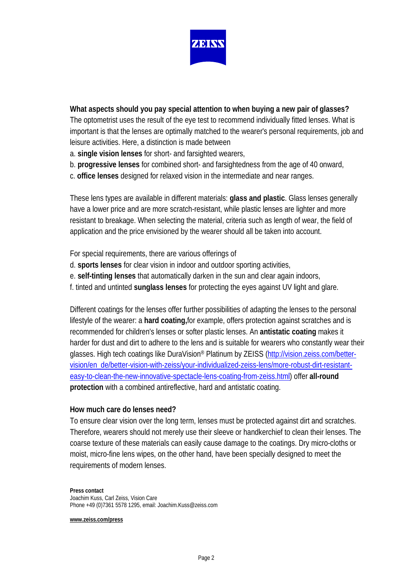

### **What aspects should you pay special attention to when buying a new pair of glasses?**

The optometrist uses the result of the eye test to recommend individually fitted lenses. What is important is that the lenses are optimally matched to the wearer's personal requirements, job and leisure activities. Here, a distinction is made between

- a. **single vision lenses** for short- and farsighted wearers,
- b. **progressive lenses** for combined short- and farsightedness from the age of 40 onward,
- c. **office lenses** designed for relaxed vision in the intermediate and near ranges.

These lens types are available in different materials: **glass and plastic**. Glass lenses generally have a lower price and are more scratch-resistant, while plastic lenses are lighter and more resistant to breakage. When selecting the material, criteria such as length of wear, the field of application and the price envisioned by the wearer should all be taken into account.

For special requirements, there are various offerings of

- d. **sports lenses** for clear vision in indoor and outdoor sporting activities,
- e. **self-tinting lenses** that automatically darken in the sun and clear again indoors,
- f. tinted and untinted **sunglass lenses** for protecting the eyes against UV light and glare.

Different coatings for the lenses offer further possibilities of adapting the lenses to the personal lifestyle of the wearer: a **hard coating,**for example, offers protection against scratches and is recommended for children's lenses or softer plastic lenses. An **antistatic coating** makes it harder for dust and dirt to adhere to the lens and is suitable for wearers who constantly wear their glasses. High tech coatings like DuraVision® Platinum by ZEISS [\(http://vision.zeiss.com/better](http://vision.zeiss.com/better-vision/en_de/better-vision-with-zeiss/your-individualized-zeiss-lens/more-robust-dirt-resistant-easy-to-clean-the-new-innovative-spectacle-lens-coating-from-zeiss.html)[vision/en\\_de/better-vision-with-zeiss/your-individualized-zeiss-lens/more-robust-dirt-resistant](http://vision.zeiss.com/better-vision/en_de/better-vision-with-zeiss/your-individualized-zeiss-lens/more-robust-dirt-resistant-easy-to-clean-the-new-innovative-spectacle-lens-coating-from-zeiss.html)[easy-to-clean-the-new-innovative-spectacle-lens-coating-from-zeiss.html\)](http://vision.zeiss.com/better-vision/en_de/better-vision-with-zeiss/your-individualized-zeiss-lens/more-robust-dirt-resistant-easy-to-clean-the-new-innovative-spectacle-lens-coating-from-zeiss.html) offer **all-round protection** with a combined antireflective, hard and antistatic coating.

#### **How much care do lenses need?**

To ensure clear vision over the long term, lenses must be protected against dirt and scratches. Therefore, wearers should not merely use their sleeve or handkerchief to clean their lenses. The coarse texture of these materials can easily cause damage to the coatings. Dry micro-cloths or moist, micro-fine lens wipes, on the other hand, have been specially designed to meet the requirements of modern lenses.

#### **Press contact**

Joachim Kuss, Carl Zeiss, Vision Care Phone +49 (0)7361 5578 1295, email: Joachim.Kuss@zeiss.com

#### **[www.zeiss.com/press](http://www.zeiss.com/press)**